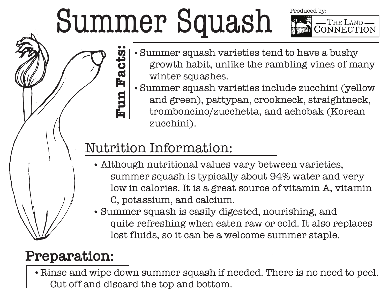## Summer Squash

Produced by:



- Summer squash varieties tend to have a bushy  $\bullet$  growth habit, unlike the rambling vines of many winter squashes.
- Summer squash varieties include zucchini (yellow and green), pattypan, crookneck, straightneck, tromboncino/zucchetta, and aehobak (Korean zucchini).

## Nutrition Information:

**Fun Facts:**

un Facts

- Although nutritional values vary between varieties, summer squash is typically about 94% water and very low in calories. It is a great source of vitamin A, vitamin C, potassium, and calcium.
- Summer squash is easily digested, nourishing, and quite refreshing when eaten raw or cold. It also replaces lost fluids, so it can be a welcome summer staple.

## **Preparation:**

Rinse and wipe down summer squash if needed. There is no need to peel. Cut off and discard the top and bottom.